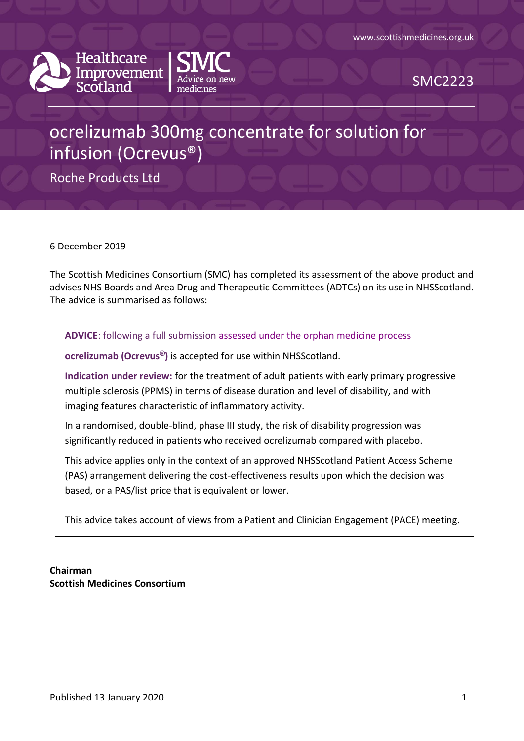



SMC2223

# ocrelizumab 300mg concentrate for solution for infusion (Ocrevus®)

Roche Products Ltd

6 December 2019

The Scottish Medicines Consortium (SMC) has completed its assessment of the above product and advises NHS Boards and Area Drug and Therapeutic Committees (ADTCs) on its use in NHSScotland. The advice is summarised as follows:

**ADVICE**: following a full submission assessed under the orphan medicine process

**ocrelizumab (Ocrevus®)** is accepted for use within NHSScotland.

**Indication under review:** for the treatment of adult patients with early primary progressive multiple sclerosis (PPMS) in terms of disease duration and level of disability, and with imaging features characteristic of inflammatory activity.

In a randomised, double-blind, phase III study, the risk of disability progression was significantly reduced in patients who received ocrelizumab compared with placebo.

This advice applies only in the context of an approved NHSScotland Patient Access Scheme (PAS) arrangement delivering the cost-effectiveness results upon which the decision was based, or a PAS/list price that is equivalent or lower.

This advice takes account of views from a Patient and Clinician Engagement (PACE) meeting.

**Chairman Scottish Medicines Consortium**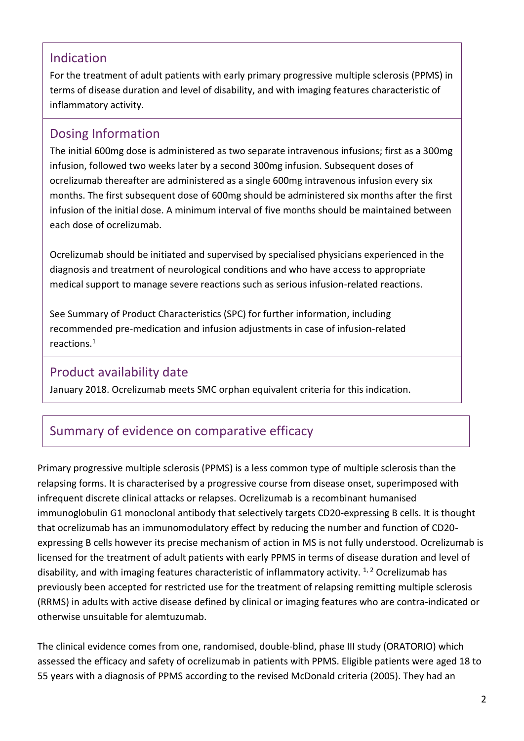### Indication

For the treatment of adult patients with early primary progressive multiple sclerosis (PPMS) in terms of disease duration and level of disability, and with imaging features characteristic of inflammatory activity.

### Dosing Information

The initial 600mg dose is administered as two separate intravenous infusions; first as a 300mg infusion, followed two weeks later by a second 300mg infusion. Subsequent doses of ocrelizumab thereafter are administered as a single 600mg intravenous infusion every six months. The first subsequent dose of 600mg should be administered six months after the first infusion of the initial dose. A minimum interval of five months should be maintained between each dose of ocrelizumab.

Ocrelizumab should be initiated and supervised by specialised physicians experienced in the diagnosis and treatment of neurological conditions and who have access to appropriate medical support to manage severe reactions such as serious infusion-related reactions.

See Summary of Product Characteristics (SPC) for further information, including recommended pre-medication and infusion adjustments in case of infusion-related reactions.<sup>1</sup>

### Product availability date

January 2018. Ocrelizumab meets SMC orphan equivalent criteria for this indication.

### Summary of evidence on comparative efficacy

Primary progressive multiple sclerosis (PPMS) is a less common type of multiple sclerosis than the relapsing forms. It is characterised by a progressive course from disease onset, superimposed with infrequent discrete clinical attacks or relapses. Ocrelizumab is a recombinant humanised immunoglobulin G1 monoclonal antibody that selectively targets CD20-expressing B cells. It is thought that ocrelizumab has an immunomodulatory effect by reducing the number and function of CD20 expressing B cells however its precise mechanism of action in MS is not fully understood. Ocrelizumab is licensed for the treatment of adult patients with early PPMS in terms of disease duration and level of disability, and with imaging features characteristic of inflammatory activity.  $1/2$  Ocrelizumab has previously been accepted for restricted use for the treatment of relapsing remitting multiple sclerosis (RRMS) in adults with active disease defined by clinical or imaging features who are contra-indicated or otherwise unsuitable for alemtuzumab.

The clinical evidence comes from one, randomised, double-blind, phase III study (ORATORIO) which assessed the efficacy and safety of ocrelizumab in patients with PPMS. Eligible patients were aged 18 to 55 years with a diagnosis of PPMS according to the revised McDonald criteria (2005). They had an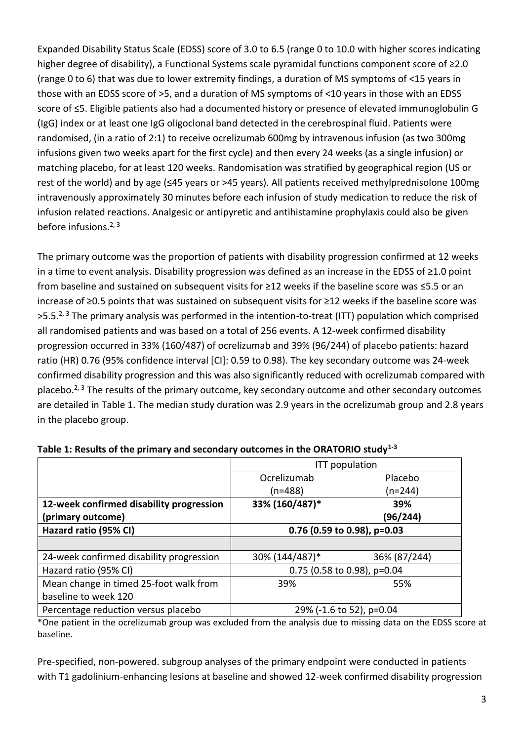Expanded Disability Status Scale (EDSS) score of 3.0 to 6.5 (range 0 to 10.0 with higher scores indicating higher degree of disability), a Functional Systems scale pyramidal functions component score of ≥2.0 (range 0 to 6) that was due to lower extremity findings, a duration of MS symptoms of <15 years in those with an EDSS score of >5, and a duration of MS symptoms of <10 years in those with an EDSS score of ≤5. Eligible patients also had a documented history or presence of elevated immunoglobulin G (IgG) index or at least one IgG oligoclonal band detected in the cerebrospinal fluid. Patients were randomised, (in a ratio of 2:1) to receive ocrelizumab 600mg by intravenous infusion (as two 300mg infusions given two weeks apart for the first cycle) and then every 24 weeks (as a single infusion) or matching placebo, for at least 120 weeks. Randomisation was stratified by geographical region (US or rest of the world) and by age (≤45 years or >45 years). All patients received methylprednisolone 100mg intravenously approximately 30 minutes before each infusion of study medication to reduce the risk of infusion related reactions. Analgesic or antipyretic and antihistamine prophylaxis could also be given before infusions.<sup>2, 3</sup>

The primary outcome was the proportion of patients with disability progression confirmed at 12 weeks in a time to event analysis. Disability progression was defined as an increase in the EDSS of ≥1.0 point from baseline and sustained on subsequent visits for ≥12 weeks if the baseline score was ≤5.5 or an increase of ≥0.5 points that was sustained on subsequent visits for ≥12 weeks if the baseline score was  $>5.5.^{2,3}$  The primary analysis was performed in the intention-to-treat (ITT) population which comprised all randomised patients and was based on a total of 256 events. A 12-week confirmed disability progression occurred in 33% (160/487) of ocrelizumab and 39% (96/244) of placebo patients: hazard ratio (HR) 0.76 (95% confidence interval [CI]: 0.59 to 0.98). The key secondary outcome was 24-week confirmed disability progression and this was also significantly reduced with ocrelizumab compared with placebo. $2, 3$  The results of the primary outcome, key secondary outcome and other secondary outcomes are detailed in Table 1. The median study duration was 2.9 years in the ocrelizumab group and 2.8 years in the placebo group.

|                                          | <b>ITT</b> population         |              |  |
|------------------------------------------|-------------------------------|--------------|--|
|                                          | Ocrelizumab                   | Placebo      |  |
|                                          | $(n=488)$                     | $(n=244)$    |  |
| 12-week confirmed disability progression | 33% (160/487)*                | 39%          |  |
| (primary outcome)                        |                               | (96/244)     |  |
| Hazard ratio (95% CI)                    | 0.76 (0.59 to 0.98), p=0.03   |              |  |
|                                          |                               |              |  |
| 24-week confirmed disability progression | 30% (144/487)*                | 36% (87/244) |  |
| Hazard ratio (95% CI)                    | 0.75 (0.58 to 0.98), $p=0.04$ |              |  |
| Mean change in timed 25-foot walk from   | 39%                           | 55%          |  |
| baseline to week 120                     |                               |              |  |
| Percentage reduction versus placebo      | 29% (-1.6 to 52), p=0.04      |              |  |

**Table 1: Results of the primary and secondary outcomes in the ORATORIO study1-3**

\*One patient in the ocrelizumab group was excluded from the analysis due to missing data on the EDSS score at baseline.

Pre-specified, non-powered. subgroup analyses of the primary endpoint were conducted in patients with T1 gadolinium-enhancing lesions at baseline and showed 12-week confirmed disability progression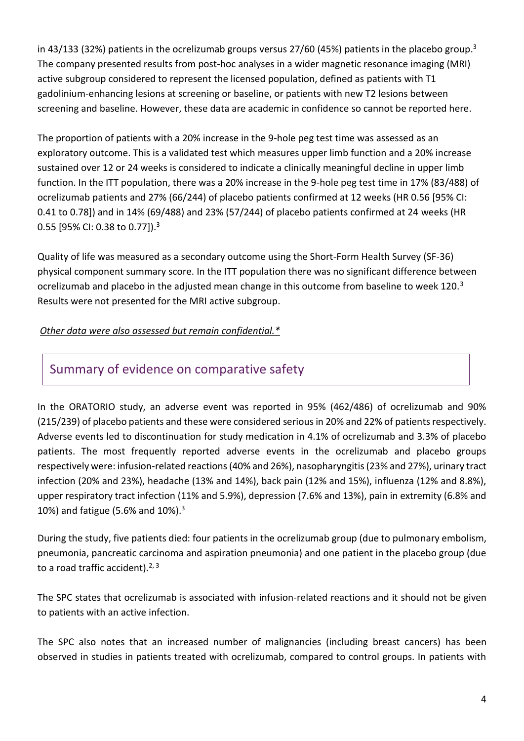in 43/133 (32%) patients in the ocrelizumab groups versus 27/60 (45%) patients in the placebo group.<sup>3</sup> The company presented results from post-hoc analyses in a wider magnetic resonance imaging (MRI) active subgroup considered to represent the licensed population, defined as patients with T1 gadolinium-enhancing lesions at screening or baseline, or patients with new T2 lesions between screening and baseline. However, these data are academic in confidence so cannot be reported here.

The proportion of patients with a 20% increase in the 9-hole peg test time was assessed as an exploratory outcome. This is a validated test which measures upper limb function and a 20% increase sustained over 12 or 24 weeks is considered to indicate a clinically meaningful decline in upper limb function. In the ITT population, there was a 20% increase in the 9-hole peg test time in 17% (83/488) of ocrelizumab patients and 27% (66/244) of placebo patients confirmed at 12 weeks (HR 0.56 [95% CI: 0.41 to 0.78]) and in 14% (69/488) and 23% (57/244) of placebo patients confirmed at 24 weeks (HR 0.55 [95% CI: 0.38 to 0.77]).<sup>3</sup>

Quality of life was measured as a secondary outcome using the Short-Form Health Survey (SF-36) physical component summary score. In the ITT population there was no significant difference between ocrelizumab and placebo in the adjusted mean change in this outcome from baseline to week 120.<sup>3</sup> Results were not presented for the MRI active subgroup.

#### *Other data were also assessed but remain confidential.\**

### Summary of evidence on comparative safety

In the ORATORIO study, an adverse event was reported in 95% (462/486) of ocrelizumab and 90% (215/239) of placebo patients and these were considered serious in 20% and 22% of patients respectively. Adverse events led to discontinuation for study medication in 4.1% of ocrelizumab and 3.3% of placebo patients. The most frequently reported adverse events in the ocrelizumab and placebo groups respectively were: infusion-related reactions (40% and 26%), nasopharyngitis (23% and 27%), urinary tract infection (20% and 23%), headache (13% and 14%), back pain (12% and 15%), influenza (12% and 8.8%), upper respiratory tract infection (11% and 5.9%), depression (7.6% and 13%), pain in extremity (6.8% and 10%) and fatigue (5.6% and 10%).<sup>3</sup>

During the study, five patients died: four patients in the ocrelizumab group (due to pulmonary embolism, pneumonia, pancreatic carcinoma and aspiration pneumonia) and one patient in the placebo group (due to a road traffic accident). $2, 3$ 

The SPC states that ocrelizumab is associated with infusion-related reactions and it should not be given to patients with an active infection.

The SPC also notes that an increased number of malignancies (including breast cancers) has been observed in studies in patients treated with ocrelizumab, compared to control groups. In patients with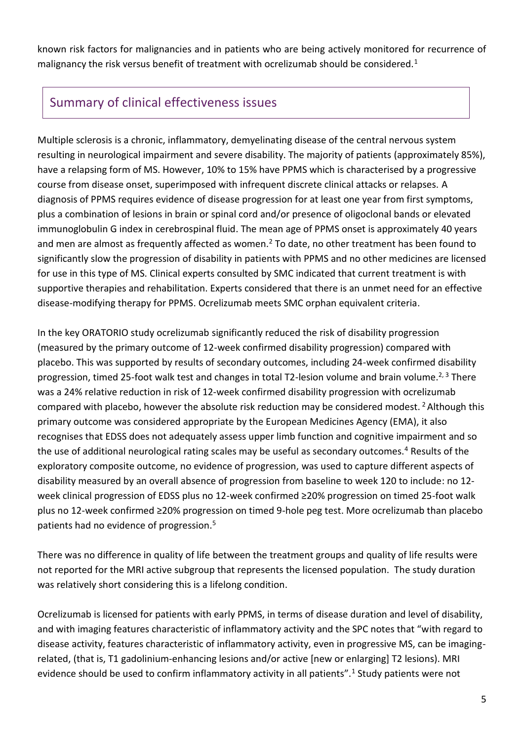known risk factors for malignancies and in patients who are being actively monitored for recurrence of malignancy the risk versus benefit of treatment with ocrelizumab should be considered.<sup>1</sup>

### Summary of clinical effectiveness issues

Multiple sclerosis is a chronic, inflammatory, demyelinating disease of the central nervous system resulting in neurological impairment and severe disability. The majority of patients (approximately 85%), have a relapsing form of MS. However, 10% to 15% have PPMS which is characterised by a progressive course from disease onset, superimposed with infrequent discrete clinical attacks or relapses. A diagnosis of PPMS requires evidence of disease progression for at least one year from first symptoms, plus a combination of lesions in brain or spinal cord and/or presence of oligoclonal bands or elevated immunoglobulin G index in cerebrospinal fluid. The mean age of PPMS onset is approximately 40 years and men are almost as frequently affected as women.<sup>2</sup> To date, no other treatment has been found to significantly slow the progression of disability in patients with PPMS and no other medicines are licensed for use in this type of MS. Clinical experts consulted by SMC indicated that current treatment is with supportive therapies and rehabilitation. Experts considered that there is an unmet need for an effective disease-modifying therapy for PPMS. Ocrelizumab meets SMC orphan equivalent criteria.

In the key ORATORIO study ocrelizumab significantly reduced the risk of disability progression (measured by the primary outcome of 12-week confirmed disability progression) compared with placebo. This was supported by results of secondary outcomes, including 24-week confirmed disability progression, timed 25-foot walk test and changes in total T2-lesion volume and brain volume.<sup>2, 3</sup> There was a 24% relative reduction in risk of 12-week confirmed disability progression with ocrelizumab compared with placebo, however the absolute risk reduction may be considered modest. <sup>2</sup> Although this primary outcome was considered appropriate by the European Medicines Agency (EMA), it also recognises that EDSS does not adequately assess upper limb function and cognitive impairment and so the use of additional neurological rating scales may be useful as secondary outcomes.<sup>4</sup> Results of the exploratory composite outcome, no evidence of progression, was used to capture different aspects of disability measured by an overall absence of progression from baseline to week 120 to include: no 12 week clinical progression of EDSS plus no 12-week confirmed ≥20% progression on timed 25-foot walk plus no 12-week confirmed ≥20% progression on timed 9-hole peg test. More ocrelizumab than placebo patients had no evidence of progression.<sup>5</sup>

There was no difference in quality of life between the treatment groups and quality of life results were not reported for the MRI active subgroup that represents the licensed population. The study duration was relatively short considering this is a lifelong condition.

Ocrelizumab is licensed for patients with early PPMS, in terms of disease duration and level of disability, and with imaging features characteristic of inflammatory activity and the SPC notes that "with regard to disease activity, features characteristic of inflammatory activity, even in progressive MS, can be imagingrelated, (that is, T1 gadolinium-enhancing lesions and/or active [new or enlarging] T2 lesions). MRI evidence should be used to confirm inflammatory activity in all patients".<sup>1</sup> Study patients were not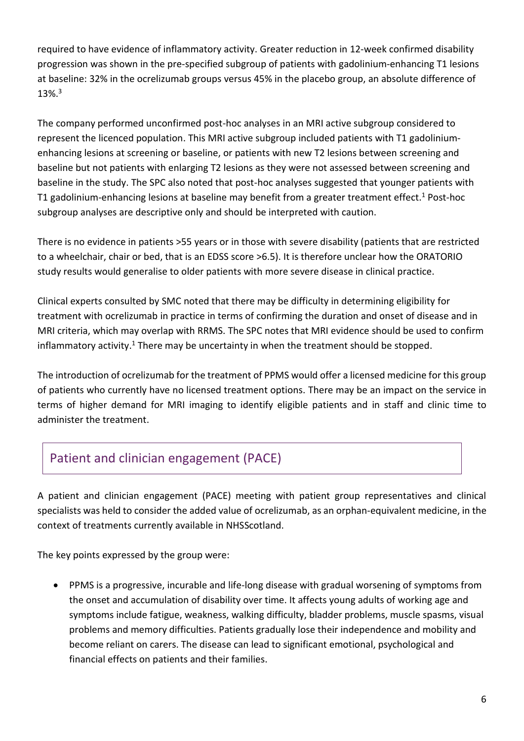required to have evidence of inflammatory activity. Greater reduction in 12-week confirmed disability progression was shown in the pre-specified subgroup of patients with gadolinium-enhancing T1 lesions at baseline: 32% in the ocrelizumab groups versus 45% in the placebo group, an absolute difference of 13%.<sup>3</sup>

The company performed unconfirmed post-hoc analyses in an MRI active subgroup considered to represent the licenced population. This MRI active subgroup included patients with T1 gadoliniumenhancing lesions at screening or baseline, or patients with new T2 lesions between screening and baseline but not patients with enlarging T2 lesions as they were not assessed between screening and baseline in the study. The SPC also noted that post-hoc analyses suggested that younger patients with T1 gadolinium-enhancing lesions at baseline may benefit from a greater treatment effect.<sup>1</sup> Post-hoc subgroup analyses are descriptive only and should be interpreted with caution.

There is no evidence in patients >55 years or in those with severe disability (patients that are restricted to a wheelchair, chair or bed, that is an EDSS score >6.5). It is therefore unclear how the ORATORIO study results would generalise to older patients with more severe disease in clinical practice.

Clinical experts consulted by SMC noted that there may be difficulty in determining eligibility for treatment with ocrelizumab in practice in terms of confirming the duration and onset of disease and in MRI criteria, which may overlap with RRMS. The SPC notes that MRI evidence should be used to confirm inflammatory activity.<sup>1</sup> There may be uncertainty in when the treatment should be stopped.

The introduction of ocrelizumab for the treatment of PPMS would offer a licensed medicine for this group of patients who currently have no licensed treatment options. There may be an impact on the service in terms of higher demand for MRI imaging to identify eligible patients and in staff and clinic time to administer the treatment.

# Patient and clinician engagement (PACE)

A patient and clinician engagement (PACE) meeting with patient group representatives and clinical specialists was held to consider the added value of ocrelizumab, as an orphan-equivalent medicine, in the context of treatments currently available in NHSScotland.

The key points expressed by the group were:

 PPMS is a progressive, incurable and life-long disease with gradual worsening of symptoms from the onset and accumulation of disability over time. It affects young adults of working age and symptoms include fatigue, weakness, walking difficulty, bladder problems, muscle spasms, visual problems and memory difficulties. Patients gradually lose their independence and mobility and become reliant on carers. The disease can lead to significant emotional, psychological and financial effects on patients and their families.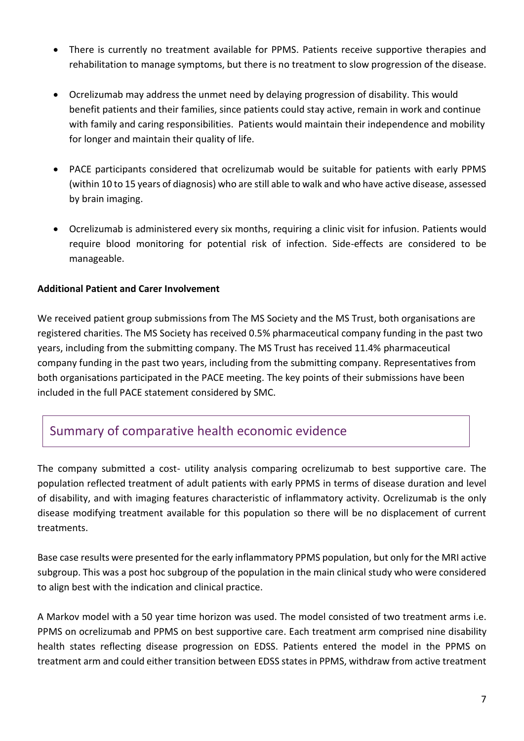- There is currently no treatment available for PPMS. Patients receive supportive therapies and rehabilitation to manage symptoms, but there is no treatment to slow progression of the disease.
- Ocrelizumab may address the unmet need by delaying progression of disability. This would benefit patients and their families, since patients could stay active, remain in work and continue with family and caring responsibilities. Patients would maintain their independence and mobility for longer and maintain their quality of life.
- PACE participants considered that ocrelizumab would be suitable for patients with early PPMS (within 10 to 15 years of diagnosis) who are still able to walk and who have active disease, assessed by brain imaging.
- Ocrelizumab is administered every six months, requiring a clinic visit for infusion. Patients would require blood monitoring for potential risk of infection. Side-effects are considered to be manageable.

#### **Additional Patient and Carer Involvement**

We received patient group submissions from The MS Society and the MS Trust, both organisations are registered charities. The MS Society has received 0.5% pharmaceutical company funding in the past two years, including from the submitting company. The MS Trust has received 11.4% pharmaceutical company funding in the past two years, including from the submitting company. Representatives from both organisations participated in the PACE meeting. The key points of their submissions have been included in the full PACE statement considered by SMC.

### Summary of comparative health economic evidence

The company submitted a cost- utility analysis comparing ocrelizumab to best supportive care. The population reflected treatment of adult patients with early PPMS in terms of disease duration and level of disability, and with imaging features characteristic of inflammatory activity. Ocrelizumab is the only disease modifying treatment available for this population so there will be no displacement of current treatments.

Base case results were presented for the early inflammatory PPMS population, but only for the MRI active subgroup. This was a post hoc subgroup of the population in the main clinical study who were considered to align best with the indication and clinical practice.

A Markov model with a 50 year time horizon was used. The model consisted of two treatment arms i.e. PPMS on ocrelizumab and PPMS on best supportive care. Each treatment arm comprised nine disability health states reflecting disease progression on EDSS. Patients entered the model in the PPMS on treatment arm and could either transition between EDSS states in PPMS, withdraw from active treatment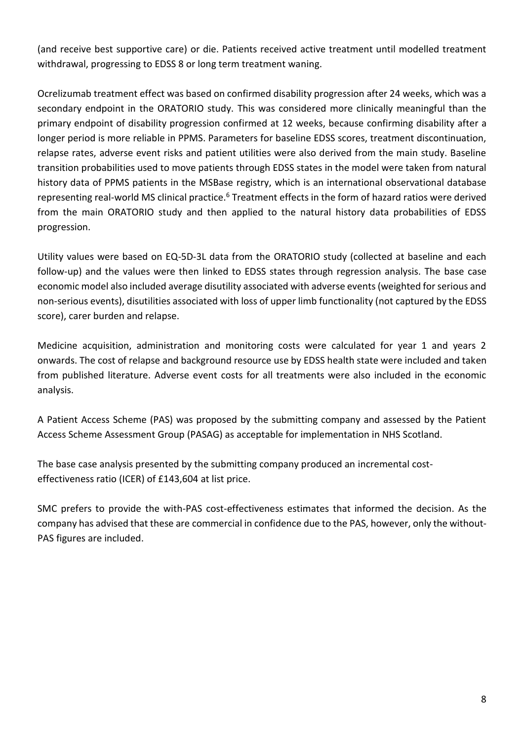(and receive best supportive care) or die. Patients received active treatment until modelled treatment withdrawal, progressing to EDSS 8 or long term treatment waning.

Ocrelizumab treatment effect was based on confirmed disability progression after 24 weeks, which was a secondary endpoint in the ORATORIO study. This was considered more clinically meaningful than the primary endpoint of disability progression confirmed at 12 weeks, because confirming disability after a longer period is more reliable in PPMS. Parameters for baseline EDSS scores, treatment discontinuation, relapse rates, adverse event risks and patient utilities were also derived from the main study. Baseline transition probabilities used to move patients through EDSS states in the model were taken from natural history data of PPMS patients in the MSBase registry, which is an international observational database representing real-world MS clinical practice.<sup>6</sup> Treatment effects in the form of hazard ratios were derived from the main ORATORIO study and then applied to the natural history data probabilities of EDSS progression.

Utility values were based on EQ-5D-3L data from the ORATORIO study (collected at baseline and each follow-up) and the values were then linked to EDSS states through regression analysis. The base case economic model also included average disutility associated with adverse events (weighted for serious and non-serious events), disutilities associated with loss of upper limb functionality (not captured by the EDSS score), carer burden and relapse.

Medicine acquisition, administration and monitoring costs were calculated for year 1 and years 2 onwards. The cost of relapse and background resource use by EDSS health state were included and taken from published literature. Adverse event costs for all treatments were also included in the economic analysis.

A Patient Access Scheme (PAS) was proposed by the submitting company and assessed by the Patient Access Scheme Assessment Group (PASAG) as acceptable for implementation in NHS Scotland.

The base case analysis presented by the submitting company produced an incremental costeffectiveness ratio (ICER) of £143,604 at list price.

SMC prefers to provide the with-PAS cost-effectiveness estimates that informed the decision. As the company has advised that these are commercial in confidence due to the PAS, however, only the without-PAS figures are included.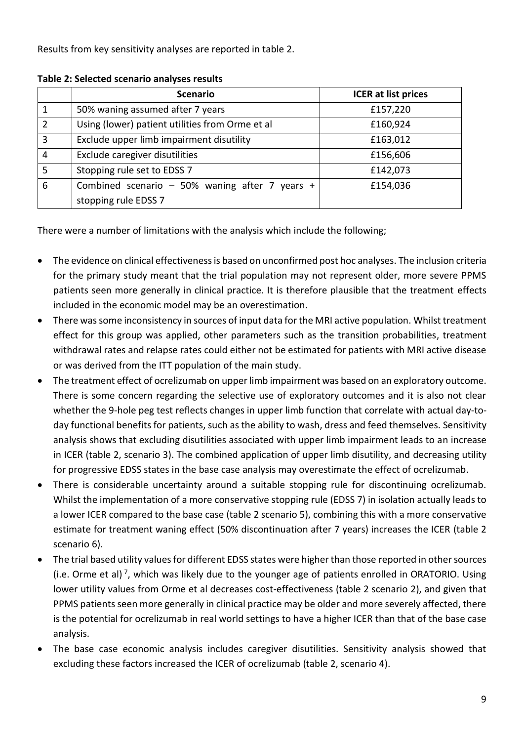Results from key sensitivity analyses are reported in table 2.

|                | <b>Scenario</b>                                 | <b>ICER at list prices</b> |
|----------------|-------------------------------------------------|----------------------------|
|                | 50% waning assumed after 7 years                | £157,220                   |
| $\overline{2}$ | Using (lower) patient utilities from Orme et al | £160,924                   |
| $\overline{3}$ | Exclude upper limb impairment disutility        | £163,012                   |
| 4              | Exclude caregiver disutilities                  | £156,606                   |
| 5              | Stopping rule set to EDSS 7                     | £142,073                   |
| 6              | Combined scenario - 50% waning after 7 years +  | £154,036                   |
|                | stopping rule EDSS 7                            |                            |

**Table 2: Selected scenario analyses results** 

There were a number of limitations with the analysis which include the following;

- The evidence on clinical effectiveness is based on unconfirmed post hoc analyses. The inclusion criteria for the primary study meant that the trial population may not represent older, more severe PPMS patients seen more generally in clinical practice. It is therefore plausible that the treatment effects included in the economic model may be an overestimation.
- There was some inconsistency in sources of input data for the MRI active population. Whilst treatment effect for this group was applied, other parameters such as the transition probabilities, treatment withdrawal rates and relapse rates could either not be estimated for patients with MRI active disease or was derived from the ITT population of the main study.
- The treatment effect of ocrelizumab on upper limb impairment was based on an exploratory outcome. There is some concern regarding the selective use of exploratory outcomes and it is also not clear whether the 9-hole peg test reflects changes in upper limb function that correlate with actual day-today functional benefits for patients, such as the ability to wash, dress and feed themselves. Sensitivity analysis shows that excluding disutilities associated with upper limb impairment leads to an increase in ICER (table 2, scenario 3). The combined application of upper limb disutility, and decreasing utility for progressive EDSS states in the base case analysis may overestimate the effect of ocrelizumab.
- There is considerable uncertainty around a suitable stopping rule for discontinuing ocrelizumab. Whilst the implementation of a more conservative stopping rule (EDSS 7) in isolation actually leads to a lower ICER compared to the base case (table 2 scenario 5), combining this with a more conservative estimate for treatment waning effect (50% discontinuation after 7 years) increases the ICER (table 2 scenario 6).
- The trial based utility values for different EDSS states were higher than those reported in other sources (i.e. Orme et al)<sup>7</sup>, which was likely due to the younger age of patients enrolled in ORATORIO. Using lower utility values from Orme et al decreases cost-effectiveness (table 2 scenario 2), and given that PPMS patients seen more generally in clinical practice may be older and more severely affected, there is the potential for ocrelizumab in real world settings to have a higher ICER than that of the base case analysis.
- The base case economic analysis includes caregiver disutilities. Sensitivity analysis showed that excluding these factors increased the ICER of ocrelizumab (table 2, scenario 4).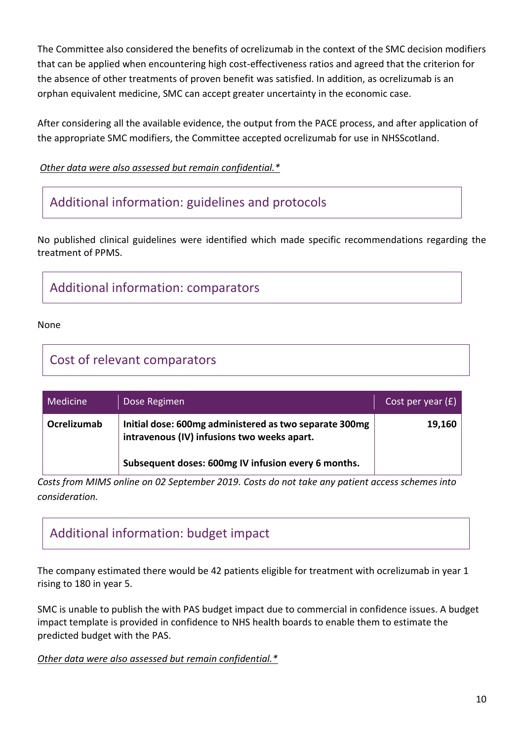The Committee also considered the benefits of ocrelizumab in the context of the SMC decision modifiers that can be applied when encountering high cost-effectiveness ratios and agreed that the criterion for the absence of other treatments of proven benefit was satisfied. In addition, as ocrelizumab is an orphan equivalent medicine, SMC can accept greater uncertainty in the economic case.

After considering all the available evidence, the output from the PACE process, and after application of the appropriate SMC modifiers, the Committee accepted ocrelizumab for use in NHSScotland.

*Other data were also assessed but remain confidential.\**

## Additional information: guidelines and protocols

No published clinical guidelines were identified which made specific recommendations regarding the treatment of PPMS.

# Additional information: comparators

None

### Cost of relevant comparators

| <b>Medicine</b> | Dose Regimen                                                                                          | Cost per year $(f)$ |
|-----------------|-------------------------------------------------------------------------------------------------------|---------------------|
| Ocrelizumab     | Initial dose: 600mg administered as two separate 300mg<br>intravenous (IV) infusions two weeks apart. | 19,160              |
|                 | Subsequent doses: 600mg IV infusion every 6 months.                                                   |                     |

*Costs from MIMS online on 02 September 2019. Costs do not take any patient access schemes into consideration.*

# Additional information: budget impact

The company estimated there would be 42 patients eligible for treatment with ocrelizumab in year 1 rising to 180 in year 5.

SMC is unable to publish the with PAS budget impact due to commercial in confidence issues. A budget impact template is provided in confidence to NHS health boards to enable them to estimate the predicted budget with the PAS.

*Other data were also assessed but remain confidential.\**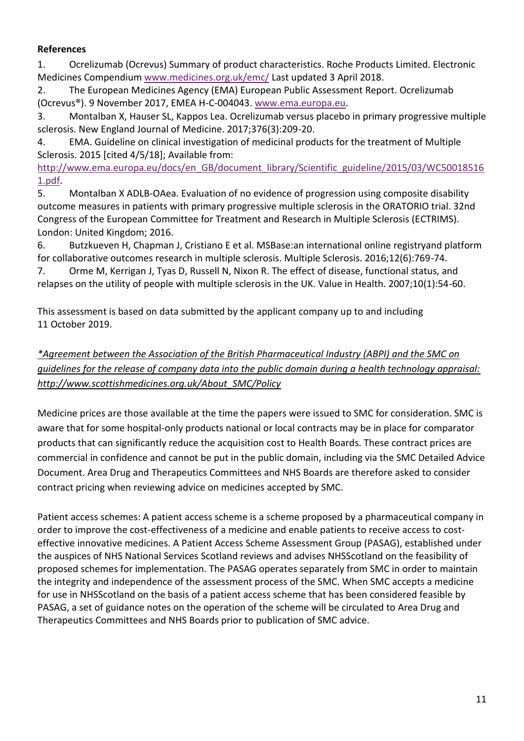#### **References**

1. Ocrelizumab (Ocrevus) Summary of product characteristics. Roche Products Limited. Electronic Medicines Compendium [www.medicines.org.uk/emc/](file://nhswfp01/data/Scottish%20Medicines%20Consortium/Recommendations/2019%20Recommendations/ocrelizumab%20(Ocrevus)%20for%20PPMS%20with%20PAS/Peer%20Review/www.medicines.org.uk/emc/) Last updated 3 April 2018.

2. The European Medicines Agency (EMA) European Public Assessment Report. Ocrelizumab (Ocrevus®). 9 November 2017, EMEA H-C-004043. [www.ema.europa.eu.](file://nhswfp01/data/Scottish%20Medicines%20Consortium/Recommendations/2019%20Recommendations/ocrelizumab%20(Ocrevus)%20for%20PPMS%20with%20PAS/Peer%20Review/www.ema.europa.eu)

3. Montalban X, Hauser SL, Kappos Lea. Ocrelizumab versus placebo in primary progressive multiple sclerosis. New England Journal of Medicine. 2017;376(3):209-20.

4. EMA. Guideline on clinical investigation of medicinal products for the treatment of Multiple Sclerosis. 2015 [cited 4/5/18]; Available from:

[http://www.ema.europa.eu/docs/en\\_GB/document\\_library/Scientific\\_guideline/2015/03/WC50018516](http://www.ema.europa.eu/docs/en_GB/document_library/Scientific_guideline/2015/03/WC500185161.pdf) [1.pdf.](http://www.ema.europa.eu/docs/en_GB/document_library/Scientific_guideline/2015/03/WC500185161.pdf)

5. Montalban X ADLB-OAea. Evaluation of no evidence of progression using composite disability outcome measures in patients with primary progressive multiple sclerosis in the ORATORIO trial. 32nd Congress of the European Committee for Treatment and Research in Multiple Sclerosis (ECTRIMS). London: United Kingdom; 2016.

6. Butzkueven H, Chapman J, Cristiano E et al. MSBase:an international online registryand platform for collaborative outcomes research in multiple sclerosis. Multiple Sclerosis. 2016;12(6):769-74.

7. Orme M, Kerrigan J, Tyas D, Russell N, Nixon R. The effect of disease, functional status, and relapses on the utility of people with multiple sclerosis in the UK. Value in Health. 2007;10(1):54-60.

This assessment is based on data submitted by the applicant company up to and including 11 October 2019.

### *\*Agreement between the Association of the British Pharmaceutical Industry (ABPI) and the SMC on guidelines for the release of company data into the public domain during a health technology appraisal: http://www.scottishmedicines.org.uk/About\_SMC/Policy*

Medicine prices are those available at the time the papers were issued to SMC for consideration. SMC is aware that for some hospital-only products national or local contracts may be in place for comparator products that can significantly reduce the acquisition cost to Health Boards. These contract prices are commercial in confidence and cannot be put in the public domain, including via the SMC Detailed Advice Document. Area Drug and Therapeutics Committees and NHS Boards are therefore asked to consider contract pricing when reviewing advice on medicines accepted by SMC.

Patient access schemes: A patient access scheme is a scheme proposed by a pharmaceutical company in order to improve the cost-effectiveness of a medicine and enable patients to receive access to costeffective innovative medicines. A Patient Access Scheme Assessment Group (PASAG), established under the auspices of NHS National Services Scotland reviews and advises NHSScotland on the feasibility of proposed schemes for implementation. The PASAG operates separately from SMC in order to maintain the integrity and independence of the assessment process of the SMC. When SMC accepts a medicine for use in NHSScotland on the basis of a patient access scheme that has been considered feasible by PASAG, a set of guidance notes on the operation of the scheme will be circulated to Area Drug and Therapeutics Committees and NHS Boards prior to publication of SMC advice.